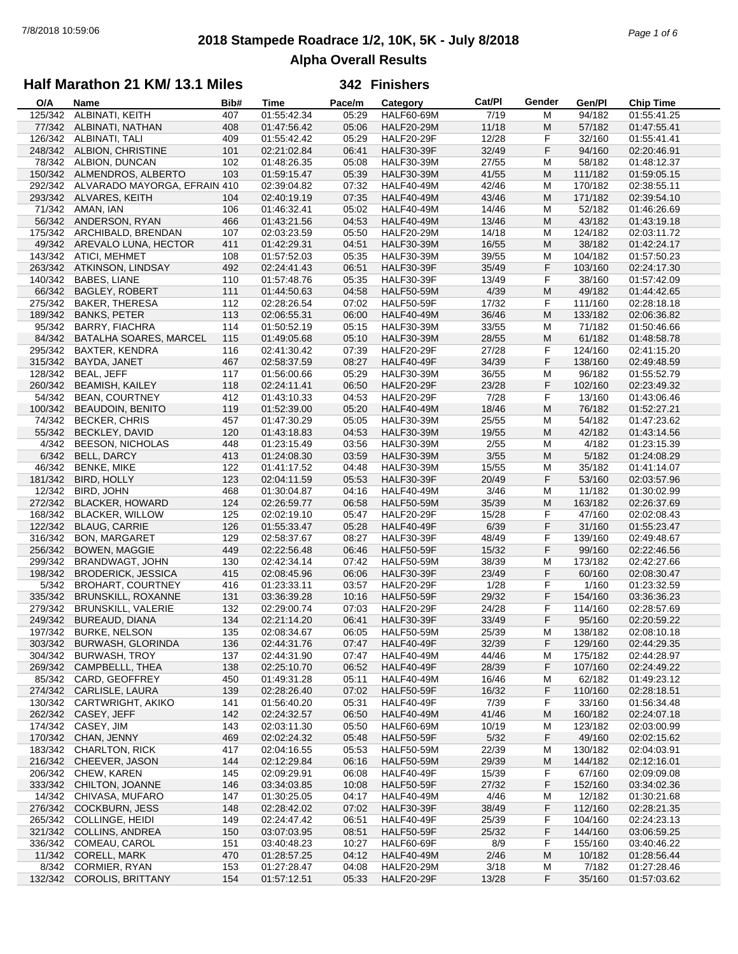## **2018 Stampede Roadrace 1/2, 10K, 5K - July 8/2018** 7/8/2018 10:59:06 *Page 1 of 6* **Alpha Overall Results**

## **Half Marathon 21 KM/ 13.1 Miles**

| O/A     | Name                          | Bib# | Time        | Pace/m | Category          | Cat/Pl | Gender | Gen/Pl  | <b>Chip Time</b> |
|---------|-------------------------------|------|-------------|--------|-------------------|--------|--------|---------|------------------|
| 125/342 | ALBINATI, KEITH               | 407  | 01:55:42.34 | 05:29  | <b>HALF60-69M</b> | 7/19   | М      | 94/182  | 01:55:41.25      |
| 77/342  | ALBINATI, NATHAN              | 408  | 01:47:56.42 | 05:06  | <b>HALF20-29M</b> | 11/18  | M      | 57/182  | 01:47:55.41      |
| 126/342 | <b>ALBINATI, TALI</b>         | 409  | 01:55:42.42 | 05:29  | HALF20-29F        | 12/28  | F      | 32/160  | 01:55:41.41      |
| 248/342 | ALBION, CHRISTINE             | 101  | 02:21:02.84 | 06:41  | <b>HALF30-39F</b> | 32/49  | F      | 94/160  | 02:20:46.91      |
| 78/342  | ALBION, DUNCAN                | 102  | 01:48:26.35 | 05:08  | <b>HALF30-39M</b> | 27/55  | M      | 58/182  | 01:48:12.37      |
|         | 150/342 ALMENDROS, ALBERTO    | 103  | 01:59:15.47 | 05:39  | <b>HALF30-39M</b> | 41/55  | M      | 111/182 | 01:59:05.15      |
| 292/342 | ALVARADO MAYORGA, EFRAIN 410  |      | 02:39:04.82 | 07:32  | <b>HALF40-49M</b> | 42/46  | M      | 170/182 | 02:38:55.11      |
| 293/342 | ALVARES, KEITH                | 104  | 02:40:19.19 | 07:35  | <b>HALF40-49M</b> | 43/46  | M      | 171/182 | 02:39:54.10      |
| 71/342  | AMAN, IAN                     | 106  | 01:46:32.41 | 05:02  | <b>HALF40-49M</b> | 14/46  | M      | 52/182  | 01:46:26.69      |
| 56/342  | ANDERSON, RYAN                | 466  | 01:43:21.56 | 04:53  | <b>HALF40-49M</b> | 13/46  | M      | 43/182  | 01:43:19.18      |
| 175/342 | ARCHIBALD, BRENDAN            | 107  | 02:03:23.59 | 05:50  | <b>HALF20-29M</b> | 14/18  | M      | 124/182 | 02:03:11.72      |
|         | AREVALO LUNA, HECTOR          |      | 01:42:29.31 |        |                   |        | M      |         |                  |
| 49/342  |                               | 411  |             | 04:51  | <b>HALF30-39M</b> | 16/55  |        | 38/182  | 01:42:24.17      |
| 143/342 | ATICI, MEHMET                 | 108  | 01:57:52.03 | 05:35  | <b>HALF30-39M</b> | 39/55  | M      | 104/182 | 01:57:50.23      |
| 263/342 | ATKINSON, LINDSAY             | 492  | 02:24:41.43 | 06:51  | <b>HALF30-39F</b> | 35/49  | F      | 103/160 | 02:24:17.30      |
| 140/342 | <b>BABES, LIANE</b>           | 110  | 01:57:48.76 | 05:35  | <b>HALF30-39F</b> | 13/49  | F      | 38/160  | 01:57:42.09      |
| 66/342  | <b>BAGLEY, ROBERT</b>         | 111  | 01:44:50.63 | 04:58  | <b>HALF50-59M</b> | 4/39   | M      | 49/182  | 01:44:42.65      |
| 275/342 | <b>BAKER, THERESA</b>         | 112  | 02:28:26.54 | 07:02  | <b>HALF50-59F</b> | 17/32  | F      | 111/160 | 02:28:18.18      |
| 189/342 | <b>BANKS, PETER</b>           | 113  | 02:06:55.31 | 06:00  | <b>HALF40-49M</b> | 36/46  | M      | 133/182 | 02:06:36.82      |
| 95/342  | <b>BARRY, FIACHRA</b>         | 114  | 01:50:52.19 | 05:15  | <b>HALF30-39M</b> | 33/55  | M      | 71/182  | 01:50:46.66      |
| 84/342  | <b>BATALHA SOARES, MARCEL</b> | 115  | 01:49:05.68 | 05:10  | <b>HALF30-39M</b> | 28/55  | M      | 61/182  | 01:48:58.78      |
| 295/342 | <b>BAXTER, KENDRA</b>         | 116  | 02:41:30.42 | 07:39  | <b>HALF20-29F</b> | 27/28  | F      | 124/160 | 02:41:15.20      |
| 315/342 | BAYDA, JANET                  | 467  | 02:58:37.59 | 08:27  | <b>HALF40-49F</b> | 34/39  | F      | 138/160 | 02:49:48.59      |
| 128/342 | BEAL, JEFF                    | 117  | 01:56:00.66 | 05:29  | <b>HALF30-39M</b> | 36/55  | М      | 96/182  | 01:55:52.79      |
| 260/342 | <b>BEAMISH, KAILEY</b>        | 118  | 02:24:11.41 | 06:50  | <b>HALF20-29F</b> | 23/28  | F      | 102/160 | 02:23:49.32      |
| 54/342  | <b>BEAN, COURTNEY</b>         | 412  | 01:43:10.33 | 04:53  | <b>HALF20-29F</b> | 7/28   | F      | 13/160  | 01:43:06.46      |
| 100/342 | <b>BEAUDOIN, BENITO</b>       | 119  | 01:52:39.00 | 05:20  | <b>HALF40-49M</b> | 18/46  | M      | 76/182  | 01:52:27.21      |
| 74/342  | <b>BECKER, CHRIS</b>          | 457  | 01:47:30.29 | 05:05  | <b>HALF30-39M</b> | 25/55  | M      | 54/182  | 01:47:23.62      |
| 55/342  | <b>BECKLEY, DAVID</b>         | 120  | 01:43:18.83 | 04:53  | <b>HALF30-39M</b> | 19/55  | M      | 42/182  | 01:43:14.56      |
| 4/342   | <b>BEESON, NICHOLAS</b>       | 448  | 01:23:15.49 | 03:56  | <b>HALF30-39M</b> | 2/55   | M      | 4/182   | 01:23:15.39      |
|         |                               |      |             |        |                   |        | M      |         |                  |
| 6/342   | BELL, DARCY                   | 413  | 01:24:08.30 | 03:59  | <b>HALF30-39M</b> | 3/55   |        | 5/182   | 01:24:08.29      |
| 46/342  | <b>BENKE, MIKE</b>            | 122  | 01:41:17.52 | 04:48  | <b>HALF30-39M</b> | 15/55  | M      | 35/182  | 01:41:14.07      |
| 181/342 | <b>BIRD, HOLLY</b>            | 123  | 02:04:11.59 | 05:53  | <b>HALF30-39F</b> | 20/49  | F      | 53/160  | 02:03:57.96      |
| 12/342  | BIRD, JOHN                    | 468  | 01:30:04.87 | 04:16  | <b>HALF40-49M</b> | 3/46   | M      | 11/182  | 01:30:02.99      |
| 272/342 | <b>BLACKER, HOWARD</b>        | 124  | 02:26:59.77 | 06:58  | <b>HALF50-59M</b> | 35/39  | M      | 163/182 | 02:26:37.69      |
| 168/342 | <b>BLACKER, WILLOW</b>        | 125  | 02:02:19.10 | 05:47  | <b>HALF20-29F</b> | 15/28  | F      | 47/160  | 02:02:08.43      |
| 122/342 | <b>BLAUG, CARRIE</b>          | 126  | 01:55:33.47 | 05:28  | <b>HALF40-49F</b> | 6/39   | F      | 31/160  | 01:55:23.47      |
| 316/342 | <b>BON, MARGARET</b>          | 129  | 02:58:37.67 | 08:27  | <b>HALF30-39F</b> | 48/49  | F      | 139/160 | 02:49:48.67      |
| 256/342 | <b>BOWEN, MAGGIE</b>          | 449  | 02:22:56.48 | 06:46  | <b>HALF50-59F</b> | 15/32  | F      | 99/160  | 02:22:46.56      |
| 299/342 | BRANDWAGT, JOHN               | 130  | 02:42:34.14 | 07:42  | <b>HALF50-59M</b> | 38/39  | M      | 173/182 | 02:42:27.66      |
| 198/342 | <b>BRODERICK, JESSICA</b>     | 415  | 02:08:45.96 | 06:06  | <b>HALF30-39F</b> | 23/49  | F      | 60/160  | 02:08:30.47      |
| 5/342   | <b>BROHART, COURTNEY</b>      | 416  | 01:23:33.11 | 03:57  | <b>HALF20-29F</b> | 1/28   | F      | 1/160   | 01:23:32.59      |
| 335/342 | BRUNSKILL, ROXANNE            | 131  | 03:36:39.28 | 10:16  | <b>HALF50-59F</b> | 29/32  | F      | 154/160 | 03:36:36.23      |
| 279/342 | <b>BRUNSKILL, VALERIE</b>     | 132  | 02:29:00.74 | 07:03  | <b>HALF20-29F</b> | 24/28  | F      | 114/160 | 02:28:57.69      |
| 249/342 | <b>BUREAUD, DIANA</b>         | 134  | 02:21:14.20 | 06:41  | <b>HALF30-39F</b> | 33/49  | F      | 95/160  | 02:20:59.22      |
| 197/342 | <b>BURKE, NELSON</b>          | 135  | 02:08:34.67 | 06:05  | <b>HALF50-59M</b> | 25/39  | M      | 138/182 | 02:08:10.18      |
| 303/342 | BURWASH, GLORINDA             | 136  | 02:44:31.76 | 07:47  | <b>HALF40-49F</b> | 32/39  | F      | 129/160 | 02:44:29.35      |
| 304/342 | <b>BURWASH, TROY</b>          | 137  | 02:44:31.90 | 07:47  | <b>HALF40-49M</b> | 44/46  | M      | 175/182 | 02:44:28.97      |
| 269/342 | CAMPBELLL, THEA               | 138  | 02:25:10.70 | 06:52  | <b>HALF40-49F</b> | 28/39  | F      | 107/160 | 02:24:49.22      |
| 85/342  | CARD, GEOFFREY                | 450  | 01:49:31.28 | 05:11  | <b>HALF40-49M</b> | 16/46  | M      | 62/182  | 01:49:23.12      |
| 274/342 | CARLISLE, LAURA               | 139  | 02:28:26.40 | 07:02  | <b>HALF50-59F</b> | 16/32  | F      | 110/160 | 02:28:18.51      |
| 130/342 | CARTWRIGHT, AKIKO             | 141  | 01:56:40.20 | 05:31  | <b>HALF40-49F</b> | 7/39   | F      | 33/160  | 01:56:34.48      |
|         | 262/342 CASEY, JEFF           | 142  | 02:24:32.57 | 06:50  | <b>HALF40-49M</b> | 41/46  | M      | 160/182 | 02:24:07.18      |
|         | CASEY, JIM                    |      |             |        |                   |        |        |         | 02:03:00.99      |
| 174/342 |                               | 143  | 02:03:11.30 | 05:50  | <b>HALF60-69M</b> | 10/19  | M      | 123/182 |                  |
| 170/342 | CHAN, JENNY                   | 469  | 02:02:24.32 | 05:48  | <b>HALF50-59F</b> | 5/32   | F      | 49/160  | 02:02:15.62      |
| 183/342 | <b>CHARLTON, RICK</b>         | 417  | 02:04:16.55 | 05:53  | <b>HALF50-59M</b> | 22/39  | M      | 130/182 | 02:04:03.91      |
|         | 216/342 CHEEVER, JASON        | 144  | 02:12:29.84 | 06:16  | <b>HALF50-59M</b> | 29/39  | M      | 144/182 | 02:12:16.01      |
| 206/342 | <b>CHEW, KAREN</b>            | 145  | 02:09:29.91 | 06:08  | HALF40-49F        | 15/39  | F      | 67/160  | 02:09:09.08      |
| 333/342 | CHILTON, JOANNE               | 146  | 03:34:03.85 | 10:08  | <b>HALF50-59F</b> | 27/32  | F      | 152/160 | 03:34:02.36      |
| 14/342  | CHIVASA, MUFARO               | 147  | 01:30:25.05 | 04:17  | <b>HALF40-49M</b> | 4/46   | M      | 12/182  | 01:30:21.68      |
| 276/342 | <b>COCKBURN, JESS</b>         | 148  | 02:28:42.02 | 07:02  | <b>HALF30-39F</b> | 38/49  | F      | 112/160 | 02:28:21.35      |
| 265/342 | <b>COLLINGE, HEIDI</b>        | 149  | 02:24:47.42 | 06:51  | <b>HALF40-49F</b> | 25/39  | F      | 104/160 | 02:24:23.13      |
| 321/342 | <b>COLLINS, ANDREA</b>        | 150  | 03:07:03.95 | 08:51  | <b>HALF50-59F</b> | 25/32  | F      | 144/160 | 03:06:59.25      |
| 336/342 | COMEAU, CAROL                 | 151  | 03:40:48.23 | 10:27  | HALF60-69F        | 8/9    | F      | 155/160 | 03:40:46.22      |
|         | 11/342 CORELL, MARK           | 470  | 01:28:57.25 | 04:12  | <b>HALF40-49M</b> | 2/46   | M      | 10/182  | 01:28:56.44      |
| 8/342   | <b>CORMIER, RYAN</b>          | 153  | 01:27:28.47 | 04:08  | <b>HALF20-29M</b> | 3/18   | M      | 7/182   | 01:27:28.46      |
|         | 132/342 COROLIS, BRITTANY     | 154  | 01:57:12.51 | 05:33  | HALF20-29F        | 13/28  | F      | 35/160  | 01:57:03.62      |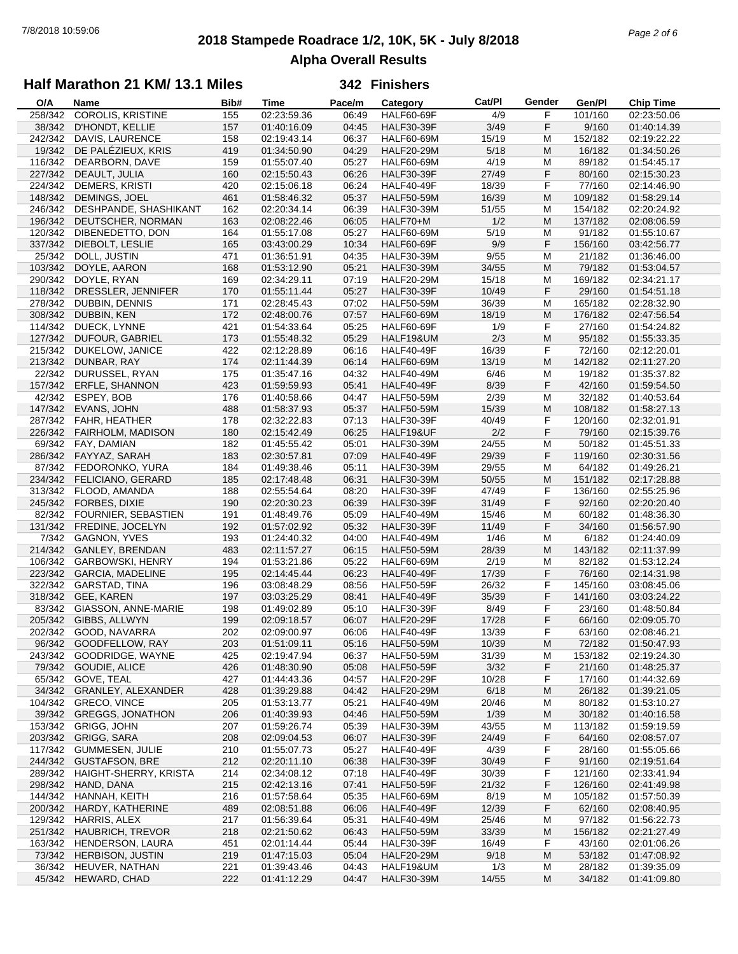## **2018 Stampede Roadrace 1/2, 10K, 5K - July 8/2018** 7/8/2018 10:59:06 *Page 2 of 6* **Alpha Overall Results**

## **Half Marathon 21 KM/ 13.1 Miles**

| O/A     | Name                    | Bib# | <b>Time</b> | Pace/m | Category          | Cat/PI | Gender | Gen/Pl  | <b>Chip Time</b> |
|---------|-------------------------|------|-------------|--------|-------------------|--------|--------|---------|------------------|
| 258/342 | COROLIS, KRISTINE       | 155  | 02:23:59.36 | 06:49  | <b>HALF60-69F</b> | 4/9    | F      | 101/160 | 02:23:50.06      |
| 38/342  | D'HONDT, KELLIE         | 157  | 01:40:16.09 | 04:45  | <b>HALF30-39F</b> | 3/49   | F      | 9/160   | 01:40:14.39      |
| 242/342 | <b>DAVIS, LAURENCE</b>  | 158  | 02:19:43.14 | 06:37  | <b>HALF60-69M</b> | 15/19  | M      | 152/182 | 02:19:22.22      |
| 19/342  | DE PALÉZIEUX, KRIS      | 419  | 01:34:50.90 | 04:29  | <b>HALF20-29M</b> | 5/18   | M      | 16/182  | 01:34:50.26      |
| 116/342 | DEARBORN, DAVE          | 159  | 01:55:07.40 | 05:27  | <b>HALF60-69M</b> | 4/19   | M      | 89/182  | 01:54:45.17      |
|         |                         |      |             |        |                   |        |        |         |                  |
| 227/342 | DEAULT, JULIA           | 160  | 02:15:50.43 | 06:26  | <b>HALF30-39F</b> | 27/49  | F      | 80/160  | 02:15:30.23      |
| 224/342 | <b>DEMERS, KRISTI</b>   | 420  | 02:15:06.18 | 06:24  | HALF40-49F        | 18/39  | F      | 77/160  | 02:14:46.90      |
| 148/342 | DEMINGS, JOEL           | 461  | 01:58:46.32 | 05:37  | <b>HALF50-59M</b> | 16/39  | M      | 109/182 | 01:58:29.14      |
| 246/342 | DESHPANDE, SHASHIKANT   | 162  | 02:20:34.14 | 06:39  | <b>HALF30-39M</b> | 51/55  | М      | 154/182 | 02:20:24.92      |
| 196/342 | DEUTSCHER, NORMAN       | 163  | 02:08:22.46 | 06:05  | HALF70+M          | 1/2    | M      | 137/182 | 02:08:06.59      |
| 120/342 | DIBENEDETTO, DON        | 164  | 01:55:17.08 | 05:27  | <b>HALF60-69M</b> | 5/19   | М      | 91/182  | 01:55:10.67      |
| 337/342 | DIEBOLT, LESLIE         | 165  | 03:43:00.29 | 10:34  | <b>HALF60-69F</b> | 9/9    | F      | 156/160 | 03:42:56.77      |
| 25/342  | DOLL, JUSTIN            | 471  | 01:36:51.91 | 04:35  | <b>HALF30-39M</b> | 9/55   | M      | 21/182  | 01:36:46.00      |
| 103/342 | DOYLE, AARON            | 168  | 01:53:12.90 | 05:21  | <b>HALF30-39M</b> | 34/55  | M      | 79/182  | 01:53:04.57      |
|         |                         |      |             |        |                   |        |        |         |                  |
| 290/342 | DOYLE, RYAN             | 169  | 02:34:29.11 | 07:19  | <b>HALF20-29M</b> | 15/18  | М      | 169/182 | 02:34:21.17      |
| 118/342 | DRESSLER, JENNIFER      | 170  | 01:55:11.44 | 05:27  | <b>HALF30-39F</b> | 10/49  | F      | 29/160  | 01:54:51.18      |
| 278/342 | DUBBIN, DENNIS          | 171  | 02:28:45.43 | 07:02  | <b>HALF50-59M</b> | 36/39  | М      | 165/182 | 02:28:32.90      |
| 308/342 | DUBBIN, KEN             | 172  | 02:48:00.76 | 07:57  | <b>HALF60-69M</b> | 18/19  | M      | 176/182 | 02:47:56.54      |
| 114/342 | DUECK, LYNNE            | 421  | 01:54:33.64 | 05:25  | HALF60-69F        | 1/9    | F      | 27/160  | 01:54:24.82      |
| 127/342 | DUFOUR, GABRIEL         | 173  | 01:55:48.32 | 05:29  | HALF19&UM         | 2/3    | M      | 95/182  | 01:55:33.35      |
| 215/342 | DUKELOW, JANICE         | 422  | 02:12:28.89 | 06:16  | HALF40-49F        | 16/39  | F      | 72/160  | 02:12:20.01      |
| 213/342 | DUNBAR, RAY             | 174  | 02:11:44.39 | 06:14  | <b>HALF60-69M</b> | 13/19  | M      | 142/182 | 02:11:27.20      |
|         |                         |      |             |        |                   |        |        |         |                  |
| 22/342  | DURUSSEL, RYAN          | 175  | 01:35:47.16 | 04:32  | <b>HALF40-49M</b> | 6/46   | M      | 19/182  | 01:35:37.82      |
| 157/342 | <b>ERFLE, SHANNON</b>   | 423  | 01:59:59.93 | 05:41  | HALF40-49F        | 8/39   | F      | 42/160  | 01:59:54.50      |
|         | 42/342 ESPEY, BOB       | 176  | 01:40:58.66 | 04:47  | <b>HALF50-59M</b> | 2/39   | М      | 32/182  | 01:40:53.64      |
| 147/342 | EVANS, JOHN             | 488  | 01:58:37.93 | 05:37  | <b>HALF50-59M</b> | 15/39  | M      | 108/182 | 01:58:27.13      |
| 287/342 | <b>FAHR, HEATHER</b>    | 178  | 02:32:22.83 | 07:13  | <b>HALF30-39F</b> | 40/49  | F      | 120/160 | 02:32:01.91      |
| 226/342 | FAIRHOLM, MADISON       | 180  | 02:15:42.49 | 06:25  | HALF19&UF         | 2/2    | F      | 79/160  | 02:15:39.76      |
|         | 69/342 FAY, DAMIAN      | 182  | 01:45:55.42 | 05:01  | <b>HALF30-39M</b> | 24/55  | M      | 50/182  | 01:45:51.33      |
|         | 286/342 FAYYAZ, SARAH   | 183  | 02:30:57.81 | 07:09  | <b>HALF40-49F</b> | 29/39  | F      | 119/160 | 02:30:31.56      |
| 87/342  | FEDORONKO, YURA         | 184  | 01:49:38.46 | 05:11  | <b>HALF30-39M</b> | 29/55  | М      | 64/182  | 01:49:26.21      |
| 234/342 |                         |      |             |        |                   |        | M      |         |                  |
|         | FELICIANO, GERARD       | 185  | 02:17:48.48 | 06:31  | <b>HALF30-39M</b> | 50/55  |        | 151/182 | 02:17:28.88      |
| 313/342 | FLOOD, AMANDA           | 188  | 02:55:54.64 | 08:20  | <b>HALF30-39F</b> | 47/49  | F      | 136/160 | 02:55:25.96      |
| 245/342 | FORBES, DIXIE           | 190  | 02:20:30.23 | 06:39  | <b>HALF30-39F</b> | 31/49  | F      | 92/160  | 02:20:20.40      |
| 82/342  | FOURNIER, SEBASTIEN     | 191  | 01:48:49.76 | 05:09  | <b>HALF40-49M</b> | 15/46  | М      | 60/182  | 01:48:36.30      |
| 131/342 | FREDINE, JOCELYN        | 192  | 01:57:02.92 | 05:32  | <b>HALF30-39F</b> | 11/49  | F      | 34/160  | 01:56:57.90      |
|         | 7/342 GAGNON, YVES      | 193  | 01:24:40.32 | 04:00  | <b>HALF40-49M</b> | 1/46   | M      | 6/182   | 01:24:40.09      |
| 214/342 | <b>GANLEY, BRENDAN</b>  | 483  | 02:11:57.27 | 06:15  | <b>HALF50-59M</b> | 28/39  | M      | 143/182 | 02:11:37.99      |
| 106/342 | GARBOWSKI, HENRY        | 194  | 01:53:21.86 | 05:22  | <b>HALF60-69M</b> | 2/19   | M      | 82/182  | 01:53:12.24      |
| 223/342 | <b>GARCIA, MADELINE</b> | 195  | 02:14:45.44 | 06:23  | <b>HALF40-49F</b> | 17/39  | F      | 76/160  | 02:14:31.98      |
| 322/342 | GARSTAD, TINA           | 196  | 03:08:48.29 | 08:56  | <b>HALF50-59F</b> | 26/32  | F      | 145/160 | 03:08:45.06      |
| 318/342 | GEE, KAREN              | 197  | 03:03:25.29 | 08:41  | <b>HALF40-49F</b> | 35/39  | F      | 141/160 | 03:03:24.22      |
| 83/342  | GIASSON, ANNE-MARIE     | 198  | 01:49:02.89 | 05:10  | <b>HALF30-39F</b> | 8/49   | F      | 23/160  | 01:48:50.84      |
|         |                         |      |             |        |                   |        |        |         |                  |
| 205/342 | GIBBS, ALLWYN           | 199  | 02:09:18.57 | 06:07  | <b>HALF20-29F</b> | 17/28  | F      | 66/160  | 02:09:05.70      |
|         | 202/342 GOOD, NAVARRA   | 202  | 02:09:00.97 | 06:06  | HALF40-49F        | 13/39  | F      | 63/160  | 02:08:46.21      |
|         | 96/342 GOODFELLOW, RAY  | 203  | 01:51:09.11 | 05:16  | <b>HALF50-59M</b> | 10/39  | M      | 72/182  | 01:50:47.93      |
| 243/342 | GOODRIDGE, WAYNE        | 425  | 02:19:47.94 | 06:37  | <b>HALF50-59M</b> | 31/39  | M      | 153/182 | 02:19:24.30      |
| 79/342  | GOUDIE, ALICE           | 426  | 01:48:30.90 | 05:08  | <b>HALF50-59F</b> | 3/32   | F      | 21/160  | 01:48:25.37      |
| 65/342  | GOVE, TEAL              | 427  | 01:44:43.36 | 04:57  | <b>HALF20-29F</b> | 10/28  | F      | 17/160  | 01:44:32.69      |
| 34/342  | GRANLEY, ALEXANDER      | 428  | 01:39:29.88 | 04:42  | <b>HALF20-29M</b> | 6/18   | M      | 26/182  | 01:39:21.05      |
| 104/342 | GRECO, VINCE            | 205  | 01:53:13.77 | 05:21  | <b>HALF40-49M</b> | 20/46  | M      | 80/182  | 01:53:10.27      |
| 39/342  | <b>GREGGS, JONATHON</b> | 206  | 01:40:39.93 | 04:46  | <b>HALF50-59M</b> | 1/39   | M      | 30/182  | 01:40:16.58      |
| 153/342 | GRIGG, JOHN             | 207  | 01:59:26.74 | 05:39  | <b>HALF30-39M</b> | 43/55  | M      | 113/182 | 01:59:19.59      |
|         |                         |      |             |        |                   |        |        |         |                  |
| 203/342 | GRIGG, SARA             | 208  | 02:09:04.53 | 06:07  | <b>HALF30-39F</b> | 24/49  | F      | 64/160  | 02:08:57.07      |
| 117/342 | <b>GUMMESEN, JULIE</b>  | 210  | 01:55:07.73 | 05:27  | <b>HALF40-49F</b> | 4/39   | F      | 28/160  | 01:55:05.66      |
| 244/342 | <b>GUSTAFSON, BRE</b>   | 212  | 02:20:11.10 | 06:38  | <b>HALF30-39F</b> | 30/49  | F      | 91/160  | 02:19:51.64      |
| 289/342 | HAIGHT-SHERRY, KRISTA   | 214  | 02:34:08.12 | 07:18  | HALF40-49F        | 30/39  | F      | 121/160 | 02:33:41.94      |
| 298/342 | HAND, DANA              | 215  | 02:42:13.16 | 07:41  | <b>HALF50-59F</b> | 21/32  | F      | 126/160 | 02:41:49.98      |
| 144/342 | HANNAH, KEITH           | 216  | 01:57:58.64 | 05:35  | <b>HALF60-69M</b> | 8/19   | М      | 105/182 | 01:57:50.39      |
| 200/342 | HARDY, KATHERINE        | 489  | 02:08:51.88 | 06:06  | HALF40-49F        | 12/39  | F      | 62/160  | 02:08:40.95      |
| 129/342 | HARRIS, ALEX            | 217  | 01:56:39.64 | 05:31  | <b>HALF40-49M</b> | 25/46  | M      | 97/182  | 01:56:22.73      |
| 251/342 | <b>HAUBRICH, TREVOR</b> | 218  | 02:21:50.62 | 06:43  | <b>HALF50-59M</b> | 33/39  | M      | 156/182 | 02:21:27.49      |
| 163/342 | HENDERSON, LAURA        | 451  | 02:01:14.44 | 05:44  | <b>HALF30-39F</b> | 16/49  | F      | 43/160  | 02:01:06.26      |
| 73/342  | <b>HERBISON, JUSTIN</b> | 219  | 01:47:15.03 | 05:04  | <b>HALF20-29M</b> | 9/18   | M      | 53/182  | 01:47:08.92      |
|         |                         |      |             |        |                   |        |        |         |                  |
| 36/342  | HEUVER, NATHAN          | 221  | 01:39:43.46 | 04:43  | HALF19&UM         | 1/3    | M      | 28/182  | 01:39:35.09      |
| 45/342  | HEWARD, CHAD            | 222  | 01:41:12.29 | 04:47  | <b>HALF30-39M</b> | 14/55  | M      | 34/182  | 01:41:09.80      |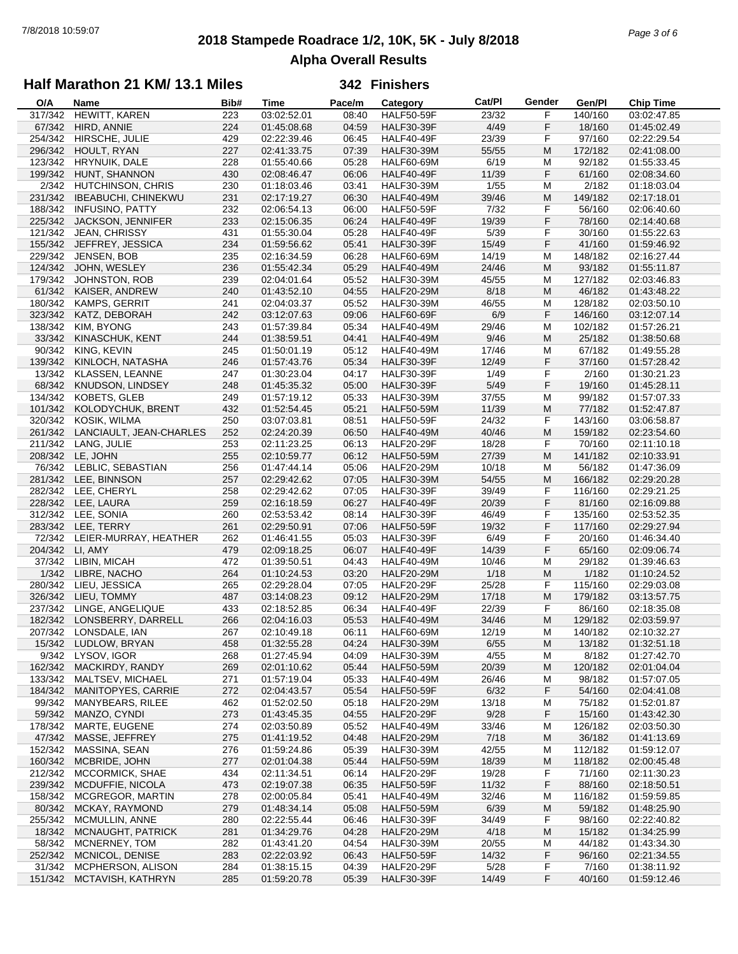## **2018 Stampede Roadrace 1/2, 10K, 5K - July 8/2018** 7/8/2018 10:59:07 *Page 3 of 6* **Alpha Overall Results**

### **Half Marathon 21 KM/ 13.1 Miles**

| O/A     | Name                       | Bib# | <b>Time</b> | Pace/m | Category          | Cat/PI | Gender | Gen/Pl  | <b>Chip Time</b> |
|---------|----------------------------|------|-------------|--------|-------------------|--------|--------|---------|------------------|
| 317/342 | HEWITT, KAREN              | 223  | 03:02:52.01 | 08:40  | <b>HALF50-59F</b> | 23/32  | F      | 140/160 | 03:02:47.85      |
| 67/342  | HIRD, ANNIE                | 224  | 01:45:08.68 | 04:59  | <b>HALF30-39F</b> | 4/49   | F      | 18/160  | 01:45:02.49      |
| 254/342 | HIRSCHE, JULIE             | 429  | 02:22:39.46 | 06:45  | <b>HALF40-49F</b> | 23/39  | F      | 97/160  | 02:22:29.54      |
| 296/342 | HOULT, RYAN                | 227  | 02:41:33.75 | 07:39  | <b>HALF30-39M</b> | 55/55  | M      | 172/182 | 02:41:08.00      |
| 123/342 | HRYNUIK, DALE              | 228  | 01:55:40.66 | 05:28  | <b>HALF60-69M</b> | 6/19   | M      | 92/182  | 01:55:33.45      |
| 199/342 | HUNT, SHANNON              | 430  | 02:08:46.47 | 06:06  | <b>HALF40-49F</b> | 11/39  | F      | 61/160  | 02:08:34.60      |
| 2/342   | HUTCHINSON, CHRIS          | 230  | 01:18:03.46 | 03:41  | <b>HALF30-39M</b> | 1/55   | M      | 2/182   | 01:18:03.04      |
| 231/342 | <b>IBEABUCHI, CHINEKWU</b> | 231  | 02:17:19.27 | 06:30  | <b>HALF40-49M</b> | 39/46  | M      | 149/182 | 02:17:18.01      |
|         |                            |      |             |        |                   |        |        |         |                  |
| 188/342 | <b>INFUSINO, PATTY</b>     | 232  | 02:06:54.13 | 06:00  | <b>HALF50-59F</b> | 7/32   | F      | 56/160  | 02:06:40.60      |
|         | 225/342 JACKSON, JENNIFER  | 233  | 02:15:06.35 | 06:24  | <b>HALF40-49F</b> | 19/39  | F      | 78/160  | 02:14:40.68      |
|         | 121/342 JEAN, CHRISSY      | 431  | 01:55:30.04 | 05:28  | HALF40-49F        | 5/39   | F      | 30/160  | 01:55:22.63      |
|         | 155/342 JEFFREY, JESSICA   | 234  | 01:59:56.62 | 05:41  | <b>HALF30-39F</b> | 15/49  | F      | 41/160  | 01:59:46.92      |
| 229/342 | JENSEN, BOB                | 235  | 02:16:34.59 | 06:28  | <b>HALF60-69M</b> | 14/19  | M      | 148/182 | 02:16:27.44      |
|         | 124/342 JOHN, WESLEY       | 236  | 01:55:42.34 | 05:29  | <b>HALF40-49M</b> | 24/46  | M      | 93/182  | 01:55:11.87      |
| 179/342 | JOHNSTON, ROB              | 239  | 02:04:01.64 | 05:52  | <b>HALF30-39M</b> | 45/55  | M      | 127/182 | 02:03:46.83      |
|         | 61/342 KAISER, ANDREW      | 240  | 01:43:52.10 | 04:55  | <b>HALF20-29M</b> | 8/18   | M      | 46/182  | 01:43:48.22      |
| 180/342 | KAMPS, GERRIT              | 241  | 02:04:03.37 | 05:52  | <b>HALF30-39M</b> | 46/55  | M      | 128/182 | 02:03:50.10      |
| 323/342 | KATZ, DEBORAH              | 242  | 03:12:07.63 | 09:06  | <b>HALF60-69F</b> | 6/9    | F      | 146/160 | 03:12:07.14      |
| 138/342 | KIM, BYONG                 | 243  | 01:57:39.84 | 05:34  | <b>HALF40-49M</b> | 29/46  | M      | 102/182 | 01:57:26.21      |
| 33/342  | KINASCHUK, KENT            | 244  | 01:38:59.51 | 04:41  | <b>HALF40-49M</b> | 9/46   | M      | 25/182  | 01:38:50.68      |
| 90/342  | KING, KEVIN                | 245  | 01:50:01.19 | 05:12  | <b>HALF40-49M</b> | 17/46  | M      | 67/182  | 01:49:55.28      |
| 139/342 | KINLOCH, NATASHA           | 246  | 01:57:43.76 | 05:34  | <b>HALF30-39F</b> | 12/49  | F      | 37/160  | 01:57:28.42      |
| 13/342  | KLASSEN, LEANNE            | 247  | 01:30:23.04 | 04:17  | <b>HALF30-39F</b> | 1/49   | F      | 2/160   | 01:30:21.23      |
|         | 68/342 KNUDSON, LINDSEY    |      |             |        |                   |        | F      | 19/160  | 01:45:28.11      |
|         |                            | 248  | 01:45:35.32 | 05:00  | <b>HALF30-39F</b> | 5/49   |        |         |                  |
| 134/342 | <b>KOBETS, GLEB</b>        | 249  | 01:57:19.12 | 05:33  | <b>HALF30-39M</b> | 37/55  | М      | 99/182  | 01:57:07.33      |
| 101/342 | KOLODYCHUK, BRENT          | 432  | 01:52:54.45 | 05:21  | <b>HALF50-59M</b> | 11/39  | M      | 77/182  | 01:52:47.87      |
| 320/342 | KOSIK, WILMA               | 250  | 03:07:03.81 | 08:51  | <b>HALF50-59F</b> | 24/32  | F      | 143/160 | 03:06:58.87      |
| 261/342 | LANCIAULT, JEAN-CHARLES    | 252  | 02:24:20.39 | 06:50  | <b>HALF40-49M</b> | 40/46  | M      | 159/182 | 02:23:54.60      |
| 211/342 | LANG, JULIE                | 253  | 02:11:23.25 | 06:13  | <b>HALF20-29F</b> | 18/28  | F      | 70/160  | 02:11:10.18      |
|         | 208/342 LE, JOHN           | 255  | 02:10:59.77 | 06:12  | <b>HALF50-59M</b> | 27/39  | M      | 141/182 | 02:10:33.91      |
|         | 76/342 LEBLIC, SEBASTIAN   | 256  | 01:47:44.14 | 05:06  | <b>HALF20-29M</b> | 10/18  | м      | 56/182  | 01:47:36.09      |
|         | 281/342 LEE, BINNSON       | 257  | 02:29:42.62 | 07:05  | HALF30-39M        | 54/55  | M      | 166/182 | 02:29:20.28      |
|         | 282/342 LEE, CHERYL        | 258  | 02:29:42.62 | 07:05  | <b>HALF30-39F</b> | 39/49  | F      | 116/160 | 02:29:21.25      |
|         | 228/342 LEE, LAURA         | 259  | 02:16:18.59 | 06:27  | <b>HALF40-49F</b> | 20/39  | F      | 81/160  | 02:16:09.88      |
|         | 312/342 LEE, SONIA         | 260  | 02:53:53.42 | 08:14  | <b>HALF30-39F</b> | 46/49  | F      | 135/160 | 02:53:52.35      |
|         | 283/342 LEE, TERRY         | 261  | 02:29:50.91 | 07:06  | <b>HALF50-59F</b> | 19/32  | F      | 117/160 | 02:29:27.94      |
| 72/342  | LEIER-MURRAY, HEATHER      | 262  | 01:46:41.55 | 05:03  | <b>HALF30-39F</b> | 6/49   | F      | 20/160  | 01:46:34.40      |
| 204/342 | LI, AMY                    | 479  | 02:09:18.25 | 06:07  | <b>HALF40-49F</b> | 14/39  | F      | 65/160  | 02:09:06.74      |
|         | 37/342 LIBIN, MICAH        | 472  | 01:39:50.51 | 04:43  | <b>HALF40-49M</b> | 10/46  | М      | 29/182  | 01:39:46.63      |
|         | 1/342 LIBRE, NACHO         | 264  | 01:10:24.53 | 03:20  | <b>HALF20-29M</b> | 1/18   | M      | 1/182   | 01:10:24.52      |
| 280/342 | LIEU, JESSICA              | 265  | 02:29:28.04 | 07:05  | <b>HALF20-29F</b> | 25/28  | F      | 115/160 | 02:29:03.08      |
|         |                            |      | 03:14:08.23 |        |                   |        | M      |         |                  |
| 326/342 | LIEU, TOMMY                | 487  |             | 09:12  | <b>HALF20-29M</b> | 17/18  |        | 179/182 | 03:13:57.75      |
| 237/342 | LINGE, ANGELIQUE           | 433  | 02:18:52.85 | 06:34  | HALF40-49F        | 22/39  | F      | 86/160  | 02:18:35.08      |
|         | 182/342 LONSBERRY, DARRELL | 266  | 02:04:16.03 | 05:53  | <b>HALF40-49M</b> | 34/46  | M      | 129/182 | 02:03:59.97      |
|         | 207/342 LONSDALE, IAN      | 267  | 02:10:49.18 | 06:11  | HALF60-69M        | 12/19  | M      | 140/182 | 02:10:32.27      |
| 15/342  | LUDLOW, BRYAN              | 458  | 01:32:55.28 | 04:24  | <b>HALF30-39M</b> | 6/55   | M      | 13/182  | 01:32:51.18      |
| 9/342   | LYSOV, IGOR                | 268  | 01:27:45.94 | 04:09  | <b>HALF30-39M</b> | 4/55   | M      | 8/182   | 01:27:42.70      |
| 162/342 | MACKIRDY, RANDY            | 269  | 02:01:10.62 | 05:44  | <b>HALF50-59M</b> | 20/39  | M      | 120/182 | 02:01:04.04      |
| 133/342 | MALTSEV, MICHAEL           | 271  | 01:57:19.04 | 05:33  | <b>HALF40-49M</b> | 26/46  | м      | 98/182  | 01:57:07.05      |
| 184/342 | MANITOPYES, CARRIE         | 272  | 02:04:43.57 | 05:54  | <b>HALF50-59F</b> | 6/32   | F      | 54/160  | 02:04:41.08      |
| 99/342  | <b>MANYBEARS, RILEE</b>    | 462  | 01:52:02.50 | 05:18  | <b>HALF20-29M</b> | 13/18  | M      | 75/182  | 01:52:01.87      |
| 59/342  | MANZO, CYNDI               | 273  | 01:43:45.35 | 04:55  | <b>HALF20-29F</b> | 9/28   | F      | 15/160  | 01:43:42.30      |
| 178/342 | MARTE, EUGENE              | 274  | 02:03:50.89 | 05:52  | <b>HALF40-49M</b> | 33/46  | M      | 126/182 | 02:03:50.30      |
| 47/342  | MASSE, JEFFREY             | 275  | 01:41:19.52 | 04:48  | <b>HALF20-29M</b> | 7/18   | M      | 36/182  | 01:41:13.69      |
| 152/342 | MASSINA, SEAN              | 276  | 01:59:24.86 | 05:39  | <b>HALF30-39M</b> | 42/55  | M      | 112/182 | 01:59:12.07      |
| 160/342 | MCBRIDE, JOHN              | 277  | 02:01:04.38 | 05:44  | <b>HALF50-59M</b> | 18/39  | M      | 118/182 | 02:00:45.48      |
| 212/342 | <b>MCCORMICK, SHAE</b>     | 434  | 02:11:34.51 | 06:14  | <b>HALF20-29F</b> | 19/28  | F      | 71/160  | 02:11:30.23      |
| 239/342 | MCDUFFIE, NICOLA           | 473  | 02:19:07.38 | 06:35  | <b>HALF50-59F</b> | 11/32  | F      | 88/160  | 02:18:50.51      |
| 158/342 | <b>MCGREGOR, MARTIN</b>    |      |             | 05:41  |                   |        |        | 116/182 |                  |
|         |                            | 278  | 02:00:05.84 |        | <b>HALF40-49M</b> | 32/46  | M      |         | 01:59:59.85      |
| 80/342  | MCKAY, RAYMOND             | 279  | 01:48:34.14 | 05:08  | <b>HALF50-59M</b> | 6/39   | M      | 59/182  | 01:48:25.90      |
| 255/342 | MCMULLIN, ANNE             | 280  | 02:22:55.44 | 06:46  | <b>HALF30-39F</b> | 34/49  | F      | 98/160  | 02:22:40.82      |
| 18/342  | MCNAUGHT, PATRICK          | 281  | 01:34:29.76 | 04:28  | <b>HALF20-29M</b> | 4/18   | M      | 15/182  | 01:34:25.99      |
| 58/342  | MCNERNEY, TOM              | 282  | 01:43:41.20 | 04:54  | <b>HALF30-39M</b> | 20/55  | M      | 44/182  | 01:43:34.30      |
| 252/342 | MCNICOL, DENISE            | 283  | 02:22:03.92 | 06:43  | <b>HALF50-59F</b> | 14/32  | F      | 96/160  | 02:21:34.55      |
| 31/342  | MCPHERSON, ALISON          | 284  | 01:38:15.15 | 04:39  | <b>HALF20-29F</b> | 5/28   | F      | 7/160   | 01:38:11.92      |
| 151/342 | MCTAVISH, KATHRYN          | 285  | 01:59:20.78 | 05:39  | <b>HALF30-39F</b> | 14/49  | F      | 40/160  | 01:59:12.46      |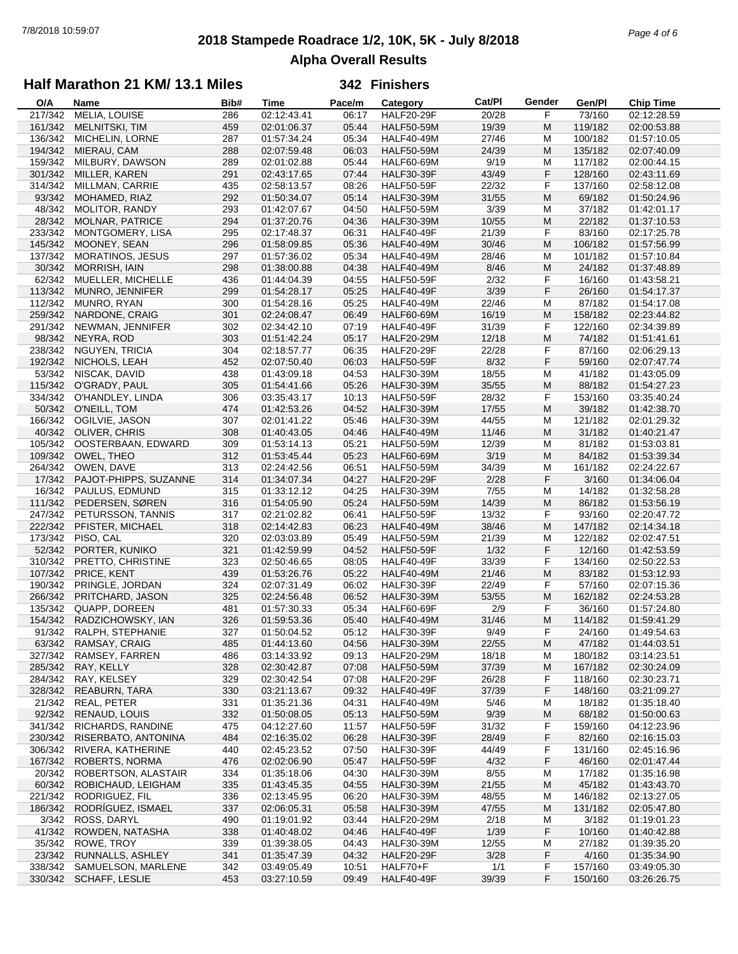## **2018 Stampede Roadrace 1/2, 10K, 5K - July 8/2018** 7/8/2018 10:59:07 *Page 4 of 6* **Alpha Overall Results**

## **Half Marathon 21 KM/ 13.1 Miles**

| O/A     | Name                    | Bib# | <b>Time</b> | Pace/m | Category          | Cat/Pl | Gender | Gen/Pl  | <b>Chip Time</b> |
|---------|-------------------------|------|-------------|--------|-------------------|--------|--------|---------|------------------|
| 217/342 | MELIA, LOUISE           | 286  | 02:12:43.41 | 06:17  | <b>HALF20-29F</b> | 20/28  | F      | 73/160  | 02:12:28.59      |
| 161/342 | <b>MELNITSKI, TIM</b>   | 459  | 02:01:06.37 | 05:44  | <b>HALF50-59M</b> | 19/39  | M      | 119/182 | 02:00:53.88      |
| 136/342 | MICHELIN, LORNE         | 287  | 01:57:34.24 | 05:34  | <b>HALF40-49M</b> | 27/46  | M      | 100/182 | 01:57:10.05      |
| 194/342 | MIERAU, CAM             | 288  | 02:07:59.48 | 06:03  | <b>HALF50-59M</b> | 24/39  | M      | 135/182 | 02:07:40.09      |
| 159/342 | MILBURY, DAWSON         | 289  | 02:01:02.88 | 05:44  | <b>HALF60-69M</b> | 9/19   | M      | 117/182 | 02:00:44.15      |
| 301/342 | MILLER, KAREN           | 291  | 02:43:17.65 | 07:44  | <b>HALF30-39F</b> | 43/49  | F      | 128/160 | 02:43:11.69      |
| 314/342 | MILLMAN, CARRIE         | 435  | 02:58:13.57 | 08:26  | <b>HALF50-59F</b> | 22/32  | F      | 137/160 | 02:58:12.08      |
| 93/342  | MOHAMED, RIAZ           | 292  | 01:50:34.07 | 05:14  | <b>HALF30-39M</b> | 31/55  | M      | 69/182  | 01:50:24.96      |
| 48/342  | <b>MOLITOR, RANDY</b>   | 293  | 01:42:07.67 | 04:50  | <b>HALF50-59M</b> | 3/39   | М      | 37/182  | 01:42:01.17      |
| 28/342  |                         |      |             |        |                   |        |        |         |                  |
|         | <b>MOLNAR, PATRICE</b>  | 294  | 01:37:20.76 | 04:36  | <b>HALF30-39M</b> | 10/55  | M      | 22/182  | 01:37:10.53      |
| 233/342 | MONTGOMERY, LISA        | 295  | 02:17:48.37 | 06:31  | <b>HALF40-49F</b> | 21/39  | F      | 83/160  | 02:17:25.78      |
| 145/342 | MOONEY, SEAN            | 296  | 01:58:09.85 | 05:36  | <b>HALF40-49M</b> | 30/46  | M      | 106/182 | 01:57:56.99      |
| 137/342 | <b>MORATINOS, JESUS</b> | 297  | 01:57:36.02 | 05:34  | <b>HALF40-49M</b> | 28/46  | M      | 101/182 | 01:57:10.84      |
| 30/342  | <b>MORRISH, IAIN</b>    | 298  | 01:38:00.88 | 04:38  | <b>HALF40-49M</b> | 8/46   | M      | 24/182  | 01:37:48.89      |
| 62/342  | MUELLER, MICHELLE       | 436  | 01:44:04.39 | 04:55  | <b>HALF50-59F</b> | 2/32   | F      | 16/160  | 01:43:58.21      |
| 113/342 | MUNRO, JENNIFER         | 299  | 01:54:28.17 | 05:25  | <b>HALF40-49F</b> | 3/39   | F      | 26/160  | 01:54:17.37      |
| 112/342 | MUNRO, RYAN             | 300  | 01:54:28.16 | 05:25  | <b>HALF40-49M</b> | 22/46  | M      | 87/182  | 01:54:17.08      |
| 259/342 | NARDONE, CRAIG          | 301  | 02:24:08.47 | 06:49  | HALF60-69M        | 16/19  | M      | 158/182 | 02:23:44.82      |
| 291/342 | NEWMAN, JENNIFER        | 302  | 02:34:42.10 | 07:19  | <b>HALF40-49F</b> | 31/39  | F      | 122/160 | 02:34:39.89      |
| 98/342  | NEYRA, ROD              | 303  | 01:51:42.24 | 05:17  | <b>HALF20-29M</b> | 12/18  | M      | 74/182  | 01:51:41.61      |
| 238/342 | NGUYEN, TRICIA          | 304  | 02:18:57.77 | 06:35  | <b>HALF20-29F</b> | 22/28  | F      | 87/160  | 02:06:29.13      |
| 192/342 | NICHOLS, LEAH           | 452  | 02:07:50.40 | 06:03  | <b>HALF50-59F</b> | 8/32   | F      | 59/160  | 02:07:47.74      |
| 53/342  | NISCAK, DAVID           | 438  | 01:43:09.18 | 04:53  | <b>HALF30-39M</b> | 18/55  | M      | 41/182  | 01:43:05.09      |
| 115/342 | O'GRADY, PAUL           | 305  | 01:54:41.66 | 05:26  | <b>HALF30-39M</b> | 35/55  | M      | 88/182  | 01:54:27.23      |
| 334/342 | O'HANDLEY, LINDA        | 306  | 03:35:43.17 | 10:13  | <b>HALF50-59F</b> | 28/32  | F      | 153/160 | 03:35:40.24      |
| 50/342  | O'NEILL, TOM            | 474  | 01:42:53.26 | 04:52  | <b>HALF30-39M</b> | 17/55  | M      | 39/182  | 01:42:38.70      |
| 166/342 |                         |      |             |        |                   |        |        |         |                  |
|         | OGILVIE, JASON          | 307  | 02:01:41.22 | 05:46  | <b>HALF30-39M</b> | 44/55  | M      | 121/182 | 02:01:29.32      |
|         | 40/342 OLIVER, CHRIS    | 308  | 01:40:43.05 | 04:46  | <b>HALF40-49M</b> | 11/46  | M      | 31/182  | 01:40:21.47      |
| 105/342 | OOSTERBAAN, EDWARD      | 309  | 01:53:14.13 | 05:21  | <b>HALF50-59M</b> | 12/39  | M      | 81/182  | 01:53:03.81      |
| 109/342 | OWEL, THEO              | 312  | 01:53:45.44 | 05:23  | <b>HALF60-69M</b> | 3/19   | M      | 84/182  | 01:53:39.34      |
| 264/342 | OWEN, DAVE              | 313  | 02:24:42.56 | 06:51  | <b>HALF50-59M</b> | 34/39  | M      | 161/182 | 02:24:22.67      |
| 17/342  | PAJOT-PHIPPS, SUZANNE   | 314  | 01:34:07.34 | 04:27  | <b>HALF20-29F</b> | 2/28   | F      | 3/160   | 01:34:06.04      |
| 16/342  | PAULUS, EDMUND          | 315  | 01:33:12.12 | 04:25  | <b>HALF30-39M</b> | 7/55   | М      | 14/182  | 01:32:58.28      |
| 111/342 | PEDERSEN, SØREN         | 316  | 01:54:05.90 | 05:24  | <b>HALF50-59M</b> | 14/39  | M      | 86/182  | 01:53:56.19      |
| 247/342 | PETURSSON, TANNIS       | 317  | 02:21:02.82 | 06:41  | <b>HALF50-59F</b> | 13/32  | F      | 93/160  | 02:20:47.72      |
| 222/342 | PFISTER, MICHAEL        | 318  | 02:14:42.83 | 06:23  | <b>HALF40-49M</b> | 38/46  | M      | 147/182 | 02:14:34.18      |
| 173/342 | PISO, CAL               | 320  | 02:03:03.89 | 05:49  | <b>HALF50-59M</b> | 21/39  | M      | 122/182 | 02:02:47.51      |
| 52/342  | PORTER, KUNIKO          | 321  | 01:42:59.99 | 04:52  | <b>HALF50-59F</b> | 1/32   | F      | 12/160  | 01:42:53.59      |
| 310/342 | PRETTO, CHRISTINE       | 323  | 02:50:46.65 | 08:05  | <b>HALF40-49F</b> | 33/39  | F      | 134/160 | 02:50:22.53      |
| 107/342 | PRICE, KENT             | 439  | 01:53:26.76 | 05:22  | <b>HALF40-49M</b> | 21/46  | M      | 83/182  | 01:53:12.93      |
| 190/342 | PRINGLE, JORDAN         | 324  | 02:07:31.49 | 06:02  | <b>HALF30-39F</b> | 22/49  | F      | 57/160  | 02:07:15.36      |
| 266/342 | PRITCHARD, JASON        | 325  | 02:24:56.48 | 06:52  | <b>HALF30-39M</b> | 53/55  | M      | 162/182 | 02:24:53.28      |
| 135/342 | QUAPP, DOREEN           | 481  | 01:57:30.33 | 05:34  | <b>HALF60-69F</b> | 2/9    | F      | 36/160  | 01:57:24.80      |
| 154/342 | RADZICHOWSKY, IAN       | 326  | 01:59:53.36 | 05:40  | <b>HALF40-49M</b> | 31/46  | M      | 114/182 | 01:59:41.29      |
|         | 91/342 RALPH, STEPHANIE | 327  | 01:50:04.52 | 05:12  | <b>HALF30-39F</b> | 9/49   | F      | 24/160  | 01:49:54.63      |
| 63/342  | RAMSAY, CRAIG           | 485  | 01:44:13.60 | 04:56  | <b>HALF30-39M</b> | 22/55  | M      | 47/182  | 01:44:03.51      |
| 327/342 | RAMSEY, FARREN          | 486  | 03:14:33.92 | 09:13  | <b>HALF20-29M</b> | 18/18  | M      | 180/182 | 03:14:23.51      |
| 285/342 | RAY, KELLY              | 328  | 02:30:42.87 | 07:08  | <b>HALF50-59M</b> | 37/39  | M      | 167/182 | 02:30:24.09      |
| 284/342 | RAY, KELSEY             | 329  | 02:30:42.54 | 07:08  | HALF20-29F        | 26/28  | F      | 118/160 | 02:30:23.71      |
| 328/342 |                         | 330  | 03:21:13.67 | 09:32  | <b>HALF40-49F</b> | 37/39  | F      | 148/160 |                  |
|         | REABURN, TARA           |      |             |        |                   |        |        |         | 03:21:09.27      |
| 21/342  | REAL, PETER             | 331  | 01:35:21.36 | 04:31  | <b>HALF40-49M</b> | 5/46   | M      | 18/182  | 01:35:18.40      |
| 92/342  | RENAUD, LOUIS           | 332  | 01:50:08.05 | 05:13  | <b>HALF50-59M</b> | 9/39   | M      | 68/182  | 01:50:00.63      |
| 341/342 | RICHARDS, RANDINE       | 475  | 04:12:27.60 | 11:57  | <b>HALF50-59F</b> | 31/32  | F      | 159/160 | 04:12:23.96      |
| 230/342 | RISERBATO, ANTONINA     | 484  | 02:16:35.02 | 06:28  | <b>HALF30-39F</b> | 28/49  | F      | 82/160  | 02:16:15.03      |
| 306/342 | RIVERA, KATHERINE       | 440  | 02:45:23.52 | 07:50  | HALF30-39F        | 44/49  | F      | 131/160 | 02:45:16.96      |
| 167/342 | ROBERTS, NORMA          | 476  | 02:02:06.90 | 05:47  | <b>HALF50-59F</b> | 4/32   | F      | 46/160  | 02:01:47.44      |
| 20/342  | ROBERTSON, ALASTAIR     | 334  | 01:35:18.06 | 04:30  | <b>HALF30-39M</b> | 8/55   | M      | 17/182  | 01:35:16.98      |
| 60/342  | ROBICHAUD, LEIGHAM      | 335  | 01:43:45.35 | 04:55  | <b>HALF30-39M</b> | 21/55  | M      | 45/182  | 01:43:43.70      |
| 221/342 | RODRIGUEZ, FIL          | 336  | 02:13:45.95 | 06:20  | <b>HALF30-39M</b> | 48/55  | M      | 146/182 | 02:13:27.05      |
| 186/342 | RODRÍGUEZ, ISMAEL       | 337  | 02:06:05.31 | 05:58  | <b>HALF30-39M</b> | 47/55  | M      | 131/182 | 02:05:47.80      |
| 3/342   | ROSS, DARYL             | 490  | 01:19:01.92 | 03:44  | <b>HALF20-29M</b> | 2/18   | M      | 3/182   | 01:19:01.23      |
| 41/342  | ROWDEN, NATASHA         | 338  | 01:40:48.02 | 04:46  | <b>HALF40-49F</b> | 1/39   | F      | 10/160  | 01:40:42.88      |
| 35/342  | ROWE, TROY              | 339  | 01:39:38.05 | 04:43  | <b>HALF30-39M</b> | 12/55  | M      | 27/182  | 01:39:35.20      |
| 23/342  | RUNNALLS, ASHLEY        | 341  | 01:35:47.39 | 04:32  | <b>HALF20-29F</b> | 3/28   | F      | 4/160   | 01:35:34.90      |
| 338/342 | SAMUELSON, MARLENE      | 342  | 03:49:05.49 | 10:51  | HALF70+F          | 1/1    | F      | 157/160 | 03:49:05.30      |
|         | 330/342 SCHAFF, LESLIE  | 453  | 03:27:10.59 | 09:49  | <b>HALF40-49F</b> | 39/39  | F      | 150/160 | 03:26:26.75      |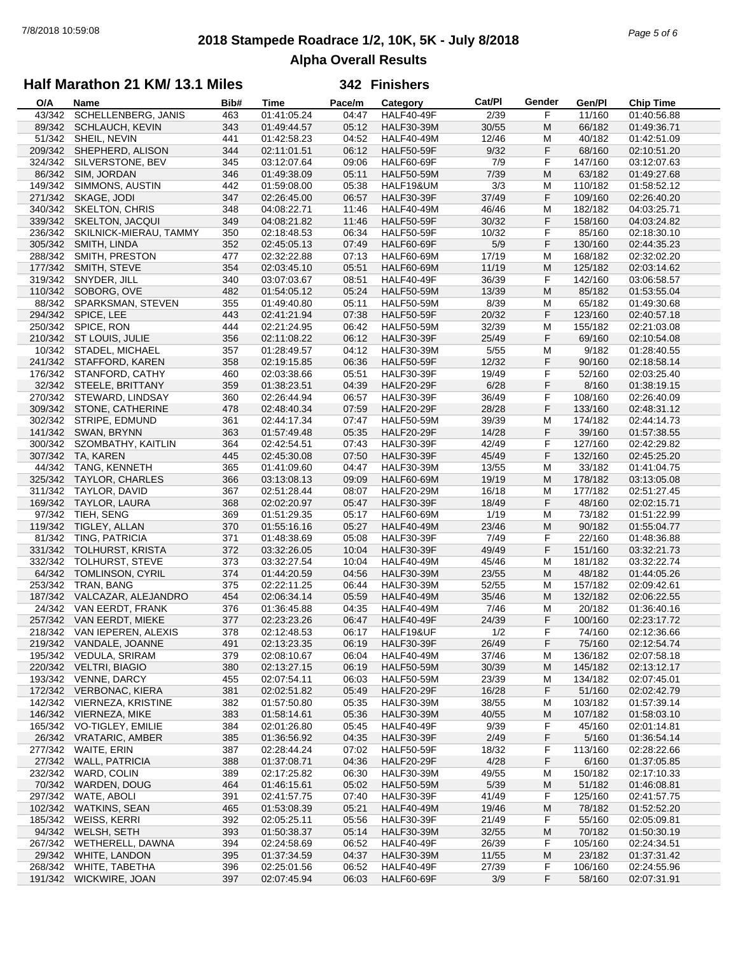## **2018 Stampede Roadrace 1/2, 10K, 5K - July 8/2018** 7/8/2018 10:59:08 *Page 5 of 6* **Alpha Overall Results**

### **Half Marathon 21 KM/ 13.1 Miles**

| O/A     | <b>Name</b>                 | Bib# | Time        | Pace/m | Category          | Cat/PI | Gender | Gen/Pl  | <b>Chip Time</b> |
|---------|-----------------------------|------|-------------|--------|-------------------|--------|--------|---------|------------------|
| 43/342  | SCHELLENBERG, JANIS         | 463  | 01:41:05.24 | 04:47  | <b>HALF40-49F</b> | 2/39   | F      | 11/160  | 01:40:56.88      |
| 89/342  | <b>SCHLAUCH, KEVIN</b>      | 343  | 01:49:44.57 | 05:12  | <b>HALF30-39M</b> | 30/55  | M      | 66/182  | 01:49:36.71      |
| 51/342  | SHEIL, NEVIN                | 441  | 01:42:58.23 | 04:52  | <b>HALF40-49M</b> | 12/46  | M      | 40/182  | 01:42:51.09      |
| 209/342 | SHEPHERD, ALISON            | 344  | 02:11:01.51 | 06:12  | <b>HALF50-59F</b> | 9/32   | F      | 68/160  | 02:10:51.20      |
| 324/342 | SILVERSTONE, BEV            | 345  | 03:12:07.64 | 09:06  | <b>HALF60-69F</b> | 7/9    | F      | 147/160 | 03:12:07.63      |
| 86/342  | SIM, JORDAN                 | 346  | 01:49:38.09 | 05:11  | <b>HALF50-59M</b> | 7/39   | M      | 63/182  | 01:49:27.68      |
| 149/342 | SIMMONS, AUSTIN             | 442  | 01:59:08.00 | 05:38  | HALF19&UM         | 3/3    | M      | 110/182 | 01:58:52.12      |
| 271/342 | SKAGE, JODI                 | 347  | 02:26:45.00 | 06:57  | <b>HALF30-39F</b> | 37/49  | F      | 109/160 | 02:26:40.20      |
| 340/342 | <b>SKELTON, CHRIS</b>       | 348  | 04:08:22.71 | 11:46  | <b>HALF40-49M</b> | 46/46  | M      | 182/182 | 04:03:25.71      |
| 339/342 | <b>SKELTON, JACQUI</b>      | 349  | 04:08:21.82 | 11:46  | <b>HALF50-59F</b> | 30/32  | F      | 158/160 | 04:03:24.82      |
| 236/342 | SKILNICK-MIERAU, TAMMY      | 350  | 02:18:48.53 | 06:34  | <b>HALF50-59F</b> | 10/32  | F      | 85/160  | 02:18:30.10      |
|         |                             |      |             |        |                   |        |        | 130/160 | 02:44:35.23      |
| 305/342 | SMITH, LINDA                | 352  | 02:45:05.13 | 07:49  | <b>HALF60-69F</b> | 5/9    | F      |         |                  |
| 288/342 | SMITH, PRESTON              | 477  | 02:32:22.88 | 07:13  | <b>HALF60-69M</b> | 17/19  | M      | 168/182 | 02:32:02.20      |
| 177/342 | SMITH, STEVE                | 354  | 02:03:45.10 | 05:51  | <b>HALF60-69M</b> | 11/19  | M      | 125/182 | 02:03:14.62      |
| 319/342 | SNYDER, JILL                | 340  | 03:07:03.67 | 08:51  | <b>HALF40-49F</b> | 36/39  | F      | 142/160 | 03:06:58.57      |
| 110/342 | SOBORG, OVE                 | 482  | 01:54:05.12 | 05:24  | <b>HALF50-59M</b> | 13/39  | M      | 85/182  | 01:53:55.04      |
| 88/342  | SPARKSMAN, STEVEN           | 355  | 01:49:40.80 | 05:11  | <b>HALF50-59M</b> | 8/39   | M      | 65/182  | 01:49:30.68      |
| 294/342 | SPICE, LEE                  | 443  | 02:41:21.94 | 07:38  | <b>HALF50-59F</b> | 20/32  | F      | 123/160 | 02:40:57.18      |
| 250/342 | SPICE, RON                  | 444  | 02:21:24.95 | 06:42  | <b>HALF50-59M</b> | 32/39  | M      | 155/182 | 02:21:03.08      |
|         | 210/342 ST LOUIS, JULIE     | 356  | 02:11:08.22 | 06:12  | <b>HALF30-39F</b> | 25/49  | F      | 69/160  | 02:10:54.08      |
| 10/342  | STADEL, MICHAEL             | 357  | 01:28:49.57 | 04:12  | <b>HALF30-39M</b> | $5/55$ | M      | 9/182   | 01:28:40.55      |
| 241/342 | STAFFORD, KAREN             | 358  | 02:19:15.85 | 06:36  | <b>HALF50-59F</b> | 12/32  | F      | 90/160  | 02:18:58.14      |
| 176/342 | STANFORD, CATHY             | 460  | 02:03:38.66 | 05:51  | <b>HALF30-39F</b> | 19/49  | F      | 52/160  | 02:03:25.40      |
|         | 32/342 STEELE, BRITTANY     | 359  | 01:38:23.51 | 04:39  | <b>HALF20-29F</b> | 6/28   | F      | 8/160   | 01:38:19.15      |
|         | 270/342 STEWARD, LINDSAY    | 360  | 02:26:44.94 | 06:57  | <b>HALF30-39F</b> | 36/49  | F      | 108/160 | 02:26:40.09      |
| 309/342 | STONE, CATHERINE            | 478  | 02:48:40.34 | 07:59  | <b>HALF20-29F</b> | 28/28  | F      | 133/160 | 02:48:31.12      |
| 302/342 | STRIPE, EDMUND              | 361  | 02:44:17.34 | 07:47  | <b>HALF50-59M</b> | 39/39  | M      | 174/182 | 02:44:14.73      |
|         | 141/342 SWAN, BRYNN         | 363  | 01:57:49.48 | 05:35  | <b>HALF20-29F</b> | 14/28  | F      | 39/160  | 01:57:38.55      |
| 300/342 | SZOMBATHY, KAITLIN          | 364  | 02:42:54.51 | 07:43  | <b>HALF30-39F</b> | 42/49  | F      | 127/160 | 02:42:29.82      |
| 307/342 | TA, KAREN                   | 445  | 02:45:30.08 | 07:50  | <b>HALF30-39F</b> | 45/49  | F      | 132/160 | 02:45:25.20      |
|         |                             |      |             |        |                   |        |        |         |                  |
| 44/342  | <b>TANG, KENNETH</b>        | 365  | 01:41:09.60 | 04:47  | <b>HALF30-39M</b> | 13/55  | M      | 33/182  | 01:41:04.75      |
| 325/342 | <b>TAYLOR, CHARLES</b>      | 366  | 03:13:08.13 | 09:09  | <b>HALF60-69M</b> | 19/19  | M      | 178/182 | 03:13:05.08      |
| 311/342 | TAYLOR, DAVID               | 367  | 02:51:28.44 | 08:07  | <b>HALF20-29M</b> | 16/18  | м      | 177/182 | 02:51:27.45      |
| 169/342 | TAYLOR, LAURA               | 368  | 02:02:20.97 | 05:47  | <b>HALF30-39F</b> | 18/49  | F      | 48/160  | 02:02:15.71      |
| 97/342  | TIEH, SENG                  | 369  | 01:51:29.35 | 05:17  | <b>HALF60-69M</b> | 1/19   | м      | 73/182  | 01:51:22.99      |
| 119/342 | TIGLEY, ALLAN               | 370  | 01:55:16.16 | 05:27  | <b>HALF40-49M</b> | 23/46  | M      | 90/182  | 01:55:04.77      |
| 81/342  | TING, PATRICIA              | 371  | 01:48:38.69 | 05:08  | <b>HALF30-39F</b> | 7/49   | F      | 22/160  | 01:48:36.88      |
| 331/342 | TOLHURST, KRISTA            | 372  | 03:32:26.05 | 10:04  | <b>HALF30-39F</b> | 49/49  | F      | 151/160 | 03:32:21.73      |
| 332/342 | TOLHURST, STEVE             | 373  | 03:32:27.54 | 10:04  | <b>HALF40-49M</b> | 45/46  | M      | 181/182 | 03:32:22.74      |
| 64/342  | <b>TOMLINSON, CYRIL</b>     | 374  | 01:44:20.59 | 04:56  | <b>HALF30-39M</b> | 23/55  | M      | 48/182  | 01:44:05.26      |
| 253/342 | TRAN, BANG                  | 375  | 02:22:11.25 | 06:44  | <b>HALF30-39M</b> | 52/55  | M      | 157/182 | 02:09:42.61      |
| 187/342 | VALCAZAR, ALEJANDRO         | 454  | 02:06:34.14 | 05:59  | <b>HALF40-49M</b> | 35/46  | M      | 132/182 | 02:06:22.55      |
| 24/342  | VAN EERDT, FRANK            | 376  | 01:36:45.88 | 04:35  | <b>HALF40-49M</b> | 7/46   | M      | 20/182  | 01:36:40.16      |
|         | 257/342 VAN EERDT, MIEKE    | 377  | 02:23:23.26 | 06:47  | <b>HALF40-49F</b> | 24/39  | F      | 100/160 | 02:23:17.72      |
|         | 218/342 VAN IEPEREN, ALEXIS | 378  | 02:12:48.53 | 06:17  | HALF19&UF         | 1/2    | F      | 74/160  | 02:12:36.66      |
|         | 219/342 VANDALE, JOANNE     | 491  | 02:13:23.35 | 06:19  | <b>HALF30-39F</b> | 26/49  | F      | 75/160  | 02:12:54.74      |
| 195/342 | <b>VEDULA, SRIRAM</b>       | 379  | 02:08:10.67 | 06:04  | <b>HALF40-49M</b> | 37/46  | M      | 136/182 | 02:07:58.18      |
| 220/342 | <b>VELTRI, BIAGIO</b>       | 380  | 02:13:27.15 | 06:19  | <b>HALF50-59M</b> | 30/39  | M      | 145/182 | 02:13:12.17      |
| 193/342 | VENNE, DARCY                | 455  | 02:07:54.11 | 06:03  | <b>HALF50-59M</b> | 23/39  | м      | 134/182 | 02:07:45.01      |
| 172/342 | VERBONAC, KIERA             | 381  | 02:02:51.82 | 05:49  | <b>HALF20-29F</b> | 16/28  | F      | 51/160  | 02:02:42.79      |
| 142/342 | VIERNEZA, KRISTINE          | 382  | 01:57:50.80 | 05:35  | <b>HALF30-39M</b> | 38/55  | м      | 103/182 | 01:57:39.14      |
|         | 146/342 VIERNEZA, MIKE      | 383  | 01:58:14.61 | 05:36  | <b>HALF30-39M</b> | 40/55  | M      | 107/182 | 01:58:03.10      |
| 165/342 | VO-TIGLEY, EMILIE           | 384  | 02:01:26.80 | 05:45  | HALF40-49F        | 9/39   |        | 45/160  | 02:01:14.81      |
|         |                             |      |             |        | <b>HALF30-39F</b> |        | F      |         |                  |
| 26/342  | <b>VRATARIC, AMBER</b>      | 385  | 01:36:56.92 | 04:35  |                   | 2/49   | F      | 5/160   | 01:36:54.14      |
| 277/342 | WAITE, ERIN                 | 387  | 02:28:44.24 | 07:02  | <b>HALF50-59F</b> | 18/32  | F.     | 113/160 | 02:28:22.66      |
| 27/342  | <b>WALL, PATRICIA</b>       | 388  | 01:37:08.71 | 04:36  | <b>HALF20-29F</b> | 4/28   | F      | 6/160   | 01:37:05.85      |
| 232/342 | WARD, COLIN                 | 389  | 02:17:25.82 | 06:30  | <b>HALF30-39M</b> | 49/55  | M      | 150/182 | 02:17:10.33      |
| 70/342  | WARDEN, DOUG                | 464  | 01:46:15.61 | 05:02  | <b>HALF50-59M</b> | 5/39   | M      | 51/182  | 01:46:08.81      |
| 297/342 | WATE, ABOLI                 | 391  | 02:41:57.75 | 07:40  | <b>HALF30-39F</b> | 41/49  | F      | 125/160 | 02:41:57.75      |
| 102/342 | <b>WATKINS, SEAN</b>        | 465  | 01:53:08.39 | 05:21  | <b>HALF40-49M</b> | 19/46  | M      | 78/182  | 01:52:52.20      |
| 185/342 | WEISS, KERRI                | 392  | 02:05:25.11 | 05:56  | <b>HALF30-39F</b> | 21/49  | F      | 55/160  | 02:05:09.81      |
| 94/342  | WELSH, SETH                 | 393  | 01:50:38.37 | 05:14  | <b>HALF30-39M</b> | 32/55  | M      | 70/182  | 01:50:30.19      |
| 267/342 | WETHERELL, DAWNA            | 394  | 02:24:58.69 | 06:52  | <b>HALF40-49F</b> | 26/39  | F      | 105/160 | 02:24:34.51      |
| 29/342  | WHITE, LANDON               | 395  | 01:37:34.59 | 04:37  | <b>HALF30-39M</b> | 11/55  | M      | 23/182  | 01:37:31.42      |
| 268/342 | WHITE, TABETHA              | 396  | 02:25:01.56 | 06:52  | HALF40-49F        | 27/39  | F      | 106/160 | 02:24:55.96      |
| 191/342 | WICKWIRE, JOAN              | 397  | 02:07:45.94 | 06:03  | HALF60-69F        | 3/9    | F      | 58/160  | 02:07:31.91      |